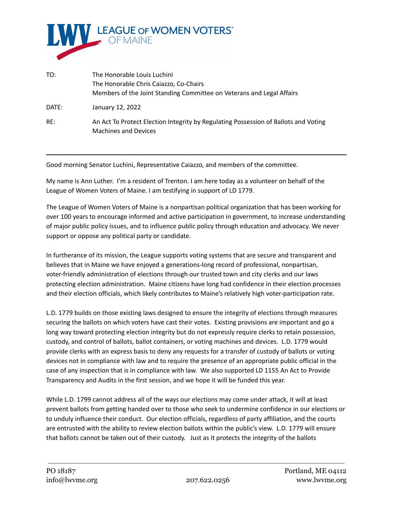

| TO:   | The Honorable Louis Luchini<br>The Honorable Chris Caiazzo, Co-Chairs<br>Members of the Joint Standing Committee on Veterans and Legal Affairs |
|-------|------------------------------------------------------------------------------------------------------------------------------------------------|
| DATE: | January 12, 2022                                                                                                                               |
| RE:   | An Act To Protect Election Integrity by Regulating Possession of Ballots and Voting<br><b>Machines and Devices</b>                             |

Good morning Senator Luchini, Representative Caiazzo, and members of the committee.

My name is Ann Luther. I'm a resident of Trenton. I am here today as a volunteer on behalf of the League of Women Voters of Maine. I am testifying in support of LD 1779.

The League of Women Voters of Maine is a nonpartisan political organization that has been working for over 100 years to encourage informed and active participation in government, to increase understanding of major public policy issues, and to influence public policy through education and advocacy. We never support or oppose any political party or candidate.

In furtherance of its mission, the League supports voting systems that are secure and transparent and believes that in Maine we have enjoyed a generations-long record of professional, nonpartisan, voter-friendly administration of elections through our trusted town and city clerks and our laws protecting election administration. Maine citizens have long had confidence in their election processes and their election officials, which likely contributes to Maine's relatively high voter-participation rate.

L.D. 1779 builds on those existing laws designed to ensure the integrity of elections through measures securing the ballots on which voters have cast their votes. Existing provisions are important and go a long way toward protecting election integrity but do not expressly require clerks to retain possession, custody, and control of ballots, ballot containers, or voting machines and devices. L.D. 1779 would provide clerks with an express basis to deny any requests for a transfer of custody of ballots or voting devices not in compliance with law and to require the presence of an appropriate public official in the case of any inspection that is in compliance with law. We also supported LD 1155 An Act to Provide Transparency and Audits in the first session, and we hope it will be funded this year.

While L.D. 1799 cannot address all of the ways our elections may come under attack, it will at least prevent ballots from getting handed over to those who seek to undermine confidence in our elections or to unduly influence their conduct. Our election officials, regardless of party affiliation, and the courts are entrusted with the ability to review election ballots within the public's view. L.D. 1779 will ensure that ballots cannot be taken out of their custody. Just as it protects the integrity of the ballots